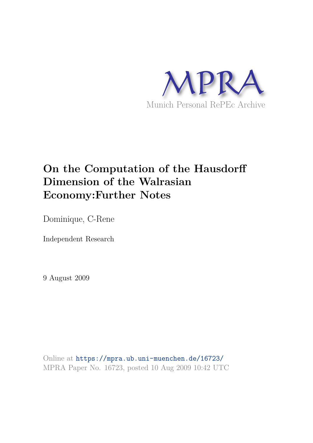

# **On the Computation of the Hausdorff Dimension of the Walrasian Economy:Further Notes**

Dominique, C-Rene

Independent Research

9 August 2009

Online at https://mpra.ub.uni-muenchen.de/16723/ MPRA Paper No. 16723, posted 10 Aug 2009 10:42 UTC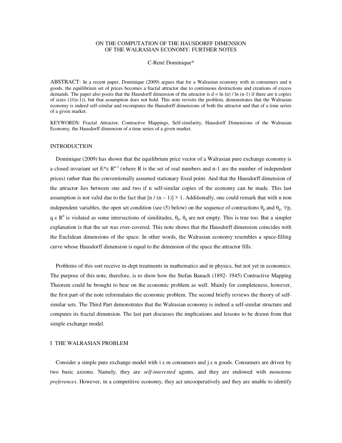## ON THE COMPUTATION OF THE HAUSDORFF DIMENSION OF THE WALRASIAN ECONOMY: FURTHER NOTES

#### C-René Dominique\*

ABSTRACT: In a recent paper, Dominique (2009) argues that for a Walrasian economy with m consumers and n goods, the equilibrium set of prices becomes a fractal attractor due to continuous destructions and creations of excess demands. The paper also posits that the Hausdorff dimension of the attractor is  $d = \ln(n)/\ln(n-1)$  if there are n copies of sizes  $(1/(n-1))$ , but that assumption does not hold. This note revisits the problem, demonstrates that the Walrasian economy is indeed self-similar and recomputes the Hausdorff dimensions of both the attractor and that of a time series of a given market.

KEYWORDS: Fractal Attractor, Contractive Mappings, Self-similarity, Hausdorff Dimensions of the Walrasian Economy, the Hausdorff dimension of a time series of a given market.

#### INTRODUCTION

 Dominique (2009) has shown that the equilibrium price vector of a Walrasian pure exchange economy is a closed invariant set  $E^* \varepsilon R^{n-1}$  (where R is the set of real numbers and n-1 are the number of independent prices) rather than the conventionally assumed stationary fixed point. And that the Hausdorff dimension of the attractor lies between one and two if n self-similar copies of the economy can be made. This last assumption is not valid due to the fact that  $\lfloor n/(n-1)\rfloor > 1$ . Additionally, one could remark that with n non independent variables, the open set condition (see (5) below) on the sequence of contractions  $\theta_p$  and  $\theta_q$ ,  $\forall p$ , q  $\epsilon$  R<sup>n</sup> is violated as some intersections of similitudes,  $\theta_p$ ,  $\theta_q$  are not empty. This is true too. But a simpler explanation is that the set was over-covered. This note shows that the Hausdorff dimension coincides with the Euclidean dimensions of the space. In other words, the Walrasian economy resembles a space-filling curve whose Hausdorff dimension is equal to the dimension of the space the attractor fills.

 Problems of this sort receive in-dept treatments in mathematics and in physics, but not yet in economics. The purpose of this note, therefore, is to show how the Stefan Banach (1892- 1945) Contractive Mapping Theorem could be brought to bear on the economic problem as well. Mainly for completeness, however, the first part of the note reformulates the economic problem. The second briefly reviews the theory of selfsimilar sets. The Third Part demonstrates that the Walrasian economy is indeed a self-similar structure and computes its fractal dimension. The last part discusses the implications and lessons to be drawn from that simple exchange model.

# I THE WALRASIAN PROBLEM

Consider a simple pure exchange model with  $i \in m$  consumers and  $j \in n$  goods. Consumers are driven by two basic axioms. Namely, they are *self-interested* agents, and they are endowed with *monotone preferences*. However, in a competitive economy, they act uncooperatively and they are unable to identify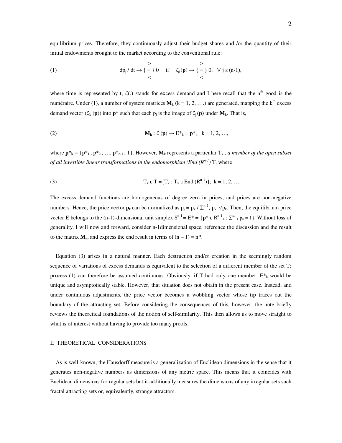equilibrium prices. Therefore, they continuously adjust their budget shares and /or the quantity of their initial endowments brought to the market according to the conventional rule:

(1) 
$$
\begin{array}{ccc}\n & \rightarrow & \rightarrow \\
\text{dp}_j / \text{dt} \rightarrow \{ = \} 0 & \text{if} & \zeta_j(p) \rightarrow \{ = \} 0, & \forall j \in (n-1), \\
& & < \n\end{array}
$$

where time is represented by t,  $\zeta(.)$  stands for excess demand and I here recall that the n<sup>th</sup> good is the numéraire. Under (1), a number of system matrices  $M_k$  (k = 1, 2, ….) are generated, mapping the k<sup>th</sup> excess demand vector ( $\zeta_k$  (**p**)) into **p**\* such that each  $p_j$  is the image of  $\zeta_j$  (**p**) under  $M_k$ . That is,

(2) 
$$
\mathbf{M}_{k}: \zeta(\mathbf{p}) \to E^*_{k} = \mathbf{p}^*_{k} \quad k = 1, 2, ...,
$$

where  $\mathbf{p}^*_{\mathbf{k}} = \{p^*_{1}, p^*_{2}, \ldots, p^*_{n-1}, 1\}$ . However,  $\mathbf{M}_{\mathbf{k}}$  represents a particular  $T_{\mathbf{k}}$ , *a member of the open subset of all invertible linear transformations in the endomorphism (End (Rn-1)* T, where

(3) 
$$
T_k \varepsilon T = \{T_k : T_k \varepsilon \text{ End } (R^{n-1})\}, k = 1, 2, ...
$$

The excess demand functions are homogeneous of degree zero in prices, and prices are non-negative numbers. Hence, the price vector  $p_k$  can be normalized as  $p_j = p_k / \sum_{k=1}^{n-1} p_k$ ,  $\forall p_k$ . Then, the equilibrium price vector E belongs to the (n-1)-dimensional unit simplex  $S^{n-1} = E^* = \{p^* \varepsilon R^{n-1} : \sum_{i=1}^{n-1} p_k = 1\}$ . Without loss of generality, I will now and forward, consider n-1dimensional space, reference the discussion and the result to the matrix  $M_k$ , and express the end result in terms of  $(n - 1) = n^*$ .

 Equation (3) arises in a natural manner. Each destruction and/or creation in the seemingly random sequence of variations of excess demands is equivalent to the selection of a different member of the set T; process (1) can therefore be assumed continuous. Obviously, if T had only one member,  $E^*_{k}$  would be unique and asymptotically stable. However, that situation does not obtain in the present case. Instead, and under continuous adjustments, the price vector becomes a wobbling vector whose tip traces out the boundary of the attracting set. Before considering the consequences of this, however, the note briefly reviews the theoretical foundations of the notion of self-similarity. This then allows us to move straight to what is of interest without having to provide too many proofs.

## II THEORETICAL CONSIDERATIONS

 As is well-known, the Hausdorff measure is a generalization of Euclidean dimensions in the sense that it generates non-negative numbers as dimensions of any metric space. This means that it coincides with Euclidean dimensions for regular sets but it additionally measures the dimensions of any irregular sets such fractal attracting sets or, equivalently, strange attractors.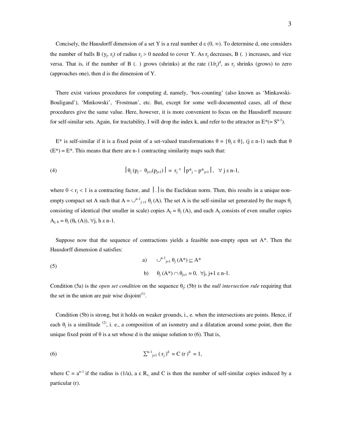Concisely, the Hausdorff dimension of a set Y is a real number d  $\varepsilon$  (0,  $\infty$ ). To determine d, one considers the number of balls B  $(y_j, r_j)$  of radius  $r_j > 0$  needed to cover Y. As  $r_j$  decreases, B (.) increases, and vice versa. That is, if the number of B (.) grows (shrinks) at the rate  $(1/r_j)^d$ , as  $r_j$  shrinks (grows) to zero (approaches one), then d is the dimension of Y.

 There exist various procedures for computing d, namely, 'box-counting' (also known as 'Minkawski-Bouligand'), 'Minkowski', 'Frostman', etc. But, except for some well-documented cases, all of these procedures give the same value. Here, however, it is more convenient to focus on the Hausdorff measure for self-similar sets. Again, for tractability, I will drop the index k, and refer to the attractor as  $E^*(=S^{n-1})$ .

 $E^*$  is self-similar if it is a fixed point of a set-valued transformations  $\theta = {\theta_j \varepsilon \theta}$ , (j  $\varepsilon$  n-1) such that  $\theta$  $(E^*) = E^*$ . This means that there are n-1 contracting similarity maps such that:

(4) 
$$
|\theta_j (p_j - \theta_{j+1}(p_{j+1})| = r_j \circ |p_{j}^* - p_{j+1}^*|, \forall j \varepsilon n-1,
$$

where  $0 < r_i < 1$  is a contracting factor, and  $\vert \cdot \vert$  is the Euclidean norm. Then, this results in a unique nonempty compact set A such that  $A = \bigcup_{i=1}^{n-1} \theta_i(A)$ . The set A is the self-similar set generated by the maps  $\theta_i$ consisting of identical (but smaller in scale) copies  $A_j = \theta_j(A)$ , and each  $A_j$  consists of even smaller copies  $A_{j, h} = \theta_j (\theta_h (A)), \forall j, h \in n-1.$ 

 Suppose now that the sequence of contractions yields a feasible non-empty open set A\*. Then the Hausdorff dimension d satisfies:

(5)   
\n(a) 
$$
\bigcup_{j=1}^{n-1} \theta_j (A^*) \subseteq A^*
$$
  
\n(b)  $\theta_j (A^*) \cap \theta_{j+1} = 0, \forall j, j+1 \epsilon n-1.$ 

Condition (5a) is the *open set condition* on the sequence  $\theta_j$ ; (5b) is the *null intersection rule* requiring that the set in the union are pair wise disjoint $(1)$ .

 Condition (5b) is strong, but it holds on weaker grounds, i., e. when the intersections are points. Hence, if each  $\theta_j$  is a similitude <sup>(2)</sup>, i. e., a composition of an isometry and a dilatation around some point, then the unique fixed point of  $\theta$  is a set whose d is the unique solution to (6). That is,

(6) 
$$
\sum_{j=1}^{n-1} (r_j)^d = C (r)^d = 1,
$$

where  $C = a^{n-1}$  if the radius is (1/a), a  $\epsilon$  R<sub>+</sub>, and C is then the number of self-similar copies induced by a particular (r).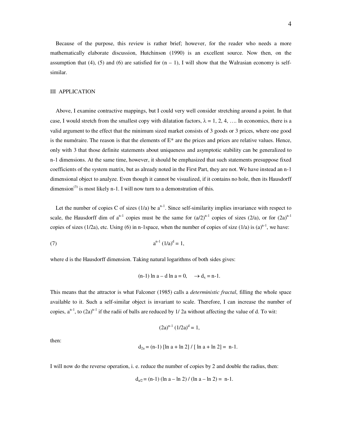Because of the purpose, this review is rather brief; however, for the reader who needs a more mathematically elaborate discussion, Hutchinson (1990) is an excellent source. Now then, on the assumption that (4), (5) and (6) are satisfied for  $(n - 1)$ , I will show that the Walrasian economy is selfsimilar.

## III APPLICATION

 Above, I examine contractive mappings, but I could very well consider stretching around a point. In that case, I would stretch from the smallest copy with dilatation factors,  $\lambda = 1, 2, 4, \dots$  In economics, there is a valid argument to the effect that the minimum sized market consists of 3 goods or 3 prices, where one good is the numéraire. The reason is that the elements of  $E^*$  are the prices and prices are relative values. Hence, only with 3 that those definite statements about uniqueness and asymptotic stability can be generalized to n-1 dimensions. At the same time, however, it should be emphasized that such statements presuppose fixed coefficients of the system matrix, but as already noted in the First Part, they are not. We have instead an n-1 dimensional object to analyze. Even though it cannot be visualized, if it contains no hole, then its Hausdorff dimension<sup>(3)</sup> is most likely n-1. I will now turn to a demonstration of this.

Let the number of copies C of sizes (1/a) be  $a^{n-1}$ . Since self-similarity implies invariance with respect to scale, the Hausdorff dim of  $a^{n-1}$  copies must be the same for  $(a/2)^{n-1}$  copies of sizes  $(2/a)$ , or for  $(2a)^{n-1}$ copies of sizes (1/2a), etc. Using (6) in n-1space, when the number of copies of size (1/a) is (a)<sup>n-1</sup>, we have:

(7) 
$$
a^{n-1} (1/a)^d = 1,
$$

where d is the Hausdorff dimension. Taking natural logarithms of both sides gives:

$$
(n-1) \ln a - d \ln a = 0, \quad \rightarrow d_x = n-1.
$$

This means that the attractor is what Falconer (1985) calls a *deterministic fractal*, filling the whole space available to it. Such a self-similar object is invariant to scale. Therefore, I can increase the number of copies,  $a^{n-1}$ , to  $(2a)^{n-1}$  if the radii of balls are reduced by 1/2a without affecting the value of d. To wit:

$$
(2a)^{n-1} (1/2a)^d = 1,
$$

then:

$$
d_{2a} = (n-1) [\ln a + \ln 2] / [\ln a + \ln 2] = n-1.
$$

I will now do the reverse operation, i. e. reduce the number of copies by 2 and double the radius, then:

$$
d_{a/2} = (n-1) (\ln a - \ln 2) / (\ln a - \ln 2) = n-1.
$$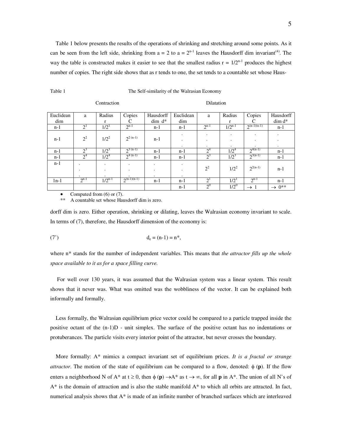Table 1 below presents the results of the operations of shrinking and stretching around some points. As it can be seen from the left side, shrinking from  $a = 2$  to  $a = 2^{n-1}$  leaves the Hausdorff dim invariant<sup>(4)</sup>. The way the table is constructed makes it easier to see that the smallest radius  $r = 1/2^{n-1}$  produces the highest number of copies. The right side shows that as r tends to one, the set tends to a countable set whose Haus-

| able 1 |  |  |
|--------|--|--|
|        |  |  |

#### Table 1 The Self-similarity of the Walrasian Economy

Contraction Dilatation

| Euclidean | a              | Radius      | Copies           | Hausdorff | Euclidean | a              | Radius      | Copies           | Hausdorff            |
|-----------|----------------|-------------|------------------|-----------|-----------|----------------|-------------|------------------|----------------------|
| dim       |                | r           | ⌒                | $dim d^*$ | dim       |                | r           | C                | $\dim d^*$           |
| $n-1$     | 2 <sup>1</sup> | $1/2^{1}$   | $2^{n-1}$        | $n-1$     | n-1       | $2^{n-1}$      | $1/2^{n-1}$ | $2^{(n-1)(n-1)}$ | $n-1$                |
|           |                |             |                  |           | ٠         | ٠              | ٠           | $\bullet$        | $\cdot$              |
| $n-1$     | $2^2$          | $1/2^2$     | $2^{(n-1)}$      | $n-1$     |           | ۰              | ٠           | $\bullet$        |                      |
|           |                |             |                  |           | $\cdot$   | ٠              | ٠.          | $\cdot$          | $\cdot$              |
| $n-1$     | $2^3$          | $1/2^3$     | $2^{3(n-1)}$     | $n-1$     | n-1       | 2 <sup>4</sup> | $1/2^4$     | $2^{4(n-1)}$     | $n-1$                |
| $n-1$     | 2 <sup>4</sup> | $1/2^4$     | $2^{4(n-1)}$     | $n-1$     | n-1       | $2^3$          | $1/2^3$     | $2^{3(n-1)}$     | $n-1$                |
| $n-1$     | $\bullet$      | $\cdot$     | $\bullet$        | $\bullet$ | $\cdot$   |                |             |                  |                      |
|           | ٠              | $\cdot$     | $\bullet$        | $\bullet$ |           | $2^2$          | $1/2^2$     | $2^{2(n-1)}$     | $n-1$                |
|           | ٠.             | ٠           |                  | $\bullet$ | $\cdot$   |                |             |                  |                      |
| $1n-1$    | $2^{n-1}$      | $1/2^{n-1}$ | $2^{(n-1)(n-1)}$ | $n-1$     | $n-1$     | $2^1$          | $1/2^{1}$   | $2^{n-1}$        | $n-1$                |
|           |                |             |                  |           | n-1       | $2^{0}$        | $1/2^{0}$   | $\rightarrow$ 1  | $\rightarrow 0^{**}$ |

Computed from (6) or (7).

\*\* A countable set whose Hausdorff dim is zero.

dorff dim is zero. Either operation, shrinking or dilating, leaves the Walrasian economy invariant to scale. In terms of (7), therefore, the Hausdorff dimension of the economy is:

(7') 
$$
d_e = (n-1) = n^*
$$
,

where n\* stands for the number of independent variables. This means that *the attractor fills up the whole space available to it as for a space filling curve.* 

 For well over 130 years, it was assumed that the Walrasian system was a linear system. This result shows that it never was. What was omitted was the wobbliness of the vector. It can be explained both informally and formally.

 Less formally, the Walrasian equilibrium price vector could be compared to a particle trapped inside the positive octant of the (n-1)D - unit simplex. The surface of the positive octant has no indentations or protuberances. The particle visits every interior point of the attractor, but never crosses the boundary.

 More formally: A\* mimics a compact invariant set of equilibrium prices. *It is a fractal or strange attractor*. The motion of the state of equilibrium can be compared to a flow, denoted:  $\phi$  (**p**). If the flow enters a neighborhood N of A\* at  $t \ge 0$ , then  $\phi(\mathbf{p}) \rightarrow A^*$  as  $t \rightarrow \infty$ , for all **p** in A\*. The union of all N's of  $A^*$  is the domain of attraction and is also the stable manifold  $A^*$  to which all orbits are attracted. In fact, numerical analysis shows that  $A^*$  is made of an infinite number of branched surfaces which are interleaved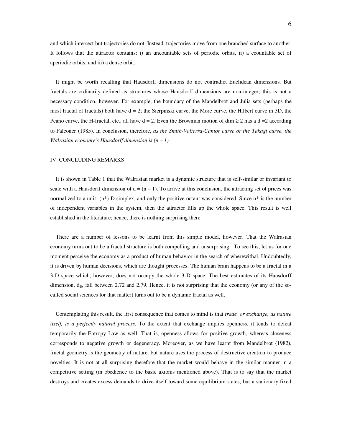and which intersect but trajectories do not. Instead, trajectories move from one branched surface to another. It follows that the attractor contains: i) an uncountable sets of periodic orbits, ii) a ccountable set of aperiodic orbits, and iii) a dense orbit.

 It might be worth recalling that Hausdorff dimensions do not contradict Euclidean dimensions. But fractals are ordinarily defined as structures whose Hausdorff dimensions are non-integer; this is not a necessary condition, however. For example, the boundary of the Mandelbrot and Julia sets (perhaps the most fractal of fractals) both have  $d = 2$ ; the Sierpinski curve, the More curve, the Hilbert curve in 3D, the Peano curve, the H-fractal, etc., all have  $d = 2$ . Even the Brownian motion of dim  $\ge 2$  has a  $d = 2$  according to Falconer (1985). In conclusion, therefore, *as the Smith-Volterra-Cantor curve or the Takagi curve, the Walrasian economy's Hausdorff dimension is*  $(n - 1)$ .

## IV CONCLUDING REMARKS

 It is shown in Table 1 that the Walrasian market is a dynamic structure that is self-similar or invariant to scale with a Hausdorff dimension of  $d = (n - 1)$ . To arrive at this conclusion, the attracting set of prices was normalized to a unit-  $(n^*)$ -D simplex, and only the positive octant was considered. Since  $n^*$  is the number of independent variables in the system, then the attractor fills up the whole space. This result is well established in the literature; hence, there is nothing surprising there.

 There are a number of lessons to be learnt from this simple model, however. That the Walrasian economy turns out to be a fractal structure is both compelling and unsurprising. To see this, let us for one moment perceive the economy as a product of human behavior in the search of wherewithal. Undoubtedly, it is driven by human decisions, which are thought processes. The human brain happens to be a fractal in a 3-D space which, however, does not occupy the whole 3-D space. The best estimates of its Hausdorff dimension,  $d_B$ , fall between 2.72 and 2.79. Hence, it is not surprising that the economy (or any of the socalled social sciences for that matter) turns out to be a dynamic fractal as well.

 Contemplating this result, the first consequence that comes to mind is that *trade, or exchange, as nature itself, is a perfectly natural process*. To the extent that exchange implies openness, it tends to defeat temporarily the Entropy Law as well. That is, openness allows for positive growth, whereas closeness corresponds to negative growth or degeneracy. Moreover, as we have learnt from Mandelbrot (1982), fractal geometry is the geometry of nature, but nature uses the process of destructive creation to produce novelties. It is not at all surprising therefore that the market would behave in the similar manner in a competitive setting (in obedience to the basic axioms mentioned above). That is to say that the market destroys and creates excess demands to drive itself toward some equilibrium states, but a stationary fixed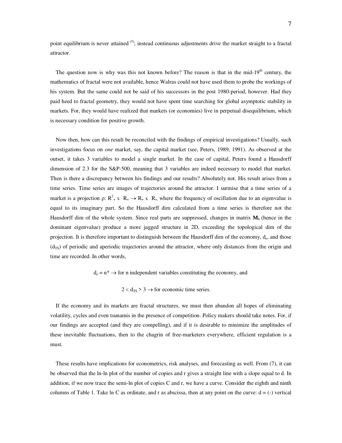point equilibrium is never attained <sup>(5)</sup>; instead continuous adjustments drive the market straight to a fractal attractor.

The question now is why was this not known before? The reason is that in the mid-19<sup>th</sup> century, the mathematics of fractal were not available, hence Walras could not have used them to probe the workings of his system. But the same could not be said of his successors in the post 1980-period, however. Had they paid heed to fractal geometry, they would not have spent time searching for global asymptotic stability in markets. For, they would have realized that markets (or economies) live in perpetual disequilibrium, which is necessary condition for positive growth.

 Now then, how can this result be reconciled with the findings of empirical investigations? Usually, such investigations focus on *one* market, say, the capital market (see, Peters, 1989, 1991). As observed at the outset, it takes 3 variables to model a single market. In the case of capital, Peters found a Hausdorff dimension of 2.3 for the S&P-500, meaning that 3 variables are indeed necessary to model that market. Then is there a discrepancy between his findings and our results? Absolutely not. His result arises from a time series. Time series are images of trajectories around the attractor. I surmise that a time series of a market is a projection  $\rho: R^2_+ \times R_+ \to R_+ \times R_+$ , where the frequency of oscillation due to an eigenvalue is equal to its imaginary part. So the Hausdorff dim calculated from a time series is therefore not the Hausdorff dim of the whole system. Since real parts are suppressed, changes in matrix  $M_k$  (hence in the dominant eigenvalue) produce a more jagged structure in 2D, exceeding the topological dim of the projection. It is therefore important to distinguish between the Hausdorff dim of the economy, d<sub>e</sub>, and those  $(d_{TS})$  of periodic and aperiodic trajectories around the attractor, where only distances from the origin and time are recorded. In other words,

 $d_e = n^* \rightarrow$  for n independent variables constituting the economy, and

 $2 < d_{TS} > 3 \rightarrow$  for economic time series.

 If the economy and its markets are fractal structures, we must then abandon all hopes of eliminating volatility, cycles and even tsunamis in the presence of competition. Policy makers should take notes. For, if our findings are accepted (and they are compelling), and if it is desirable to minimize the amplitudes of these inevitable fluctuations, then to the chagrin of free-marketers everywhere, efficient regulation is a must.

 These results have implications for econometrics, risk analyses, and forecasting as well. From (7), it can be observed that the ln-ln plot of the number of copies and r gives a straight line with a slope equal to d. In addition, if we now trace the semi-ln plot of copies C and r, we have a curve. Consider the eighth and ninth columns of Table 1. Take ln C as ordinate, and r as abscissa, then at any point on the curve:  $d = (-)$  vertical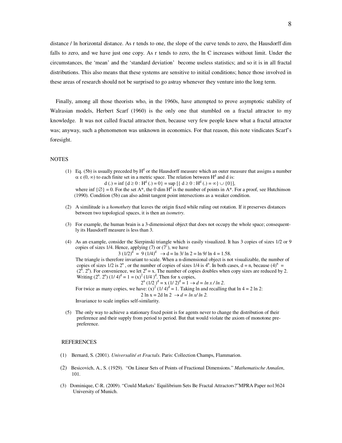distance / ln horizontal distance. As r tends to one, the slope of the curve tends to zero, the Hausdorff dim falls to zero, and we have just one copy. As r tends to zero, the ln C increases without limit. Under the circumstances, the 'mean' and the 'standard deviation' become useless statistics; and so it is in all fractal distributions. This also means that these systems are sensitive to initial conditions; hence those involved in these areas of research should not be surprised to go astray whenever they venture into the long term.

 Finally, among all those theorists who, in the 1960s, have attempted to prove asymptotic stability of Walrasian models, Herbert Scarf (1960) is the only one that stumbled on a fractal attractor to my knowledge. It was not called fractal attractor then, because very few people knew what a fractal attractor was; anyway, such a phenomenon was unknown in economics. For that reason, this note vindicates Scarf's foresight.

#### NOTES

(1) Eq. (5b) is usually preceded by  $H<sup>d</sup>$  or the Hausdorff measure which an outer measure that assigns a number  $\alpha \in (0, \infty)$  to each finite set in a metric space. The relation between H<sup>d</sup> and d is:

 $d(.) = inf \{ d \ge 0 : H^d(.) = 0 \} = sup \left[ \{ d \ge 0 : H^d(.) = \infty \} \cup \{ 0 \} \right],$ where inf  $\{\emptyset\} = 0$ . For the set A\*, the 0 dim H<sup>d</sup> is the number of points in A\*. For a proof, see Hutchinson (1990). Condition (5b) can also admit tangent point intersections as a weaker condition.

- (2) A similitude is a *homothety* that leaves the origin fixed while ruling out rotation. If it preserves distances between two topological spaces, it is then an *isometry.*
- (3) For example, the human brain is a 3-dimensional object that does not occupy the whole space; consequent ly its Hausdorff measure is less than 3.
- (4) As an example, consider the Sierpinski triangle which is easily visualized. It has 3 copies of sizes 1/2 or 9 copies of sizes 1/4. Hence, applying (7) or (7'), we have

 $3 (1/2)^d = 9 (1/4)^d \rightarrow d = \ln 3/\ln 2 = \ln 9/\ln 4 = 1.58.$ 

 The triangle is therefore invariant to scale. When a n-dimensional object is not visualizable, the number of copies of sizes  $1/2$  is  $2^n$ , or the number of copies of sizes  $1/4$  is  $4^n$ . In both cases,  $d = n$ , because  $(4)^n =$  $(2^{n} \cdot 2^{n})$ . For convenience, we let  $2^{n} = x$ . The number of copies doubles when copy sizes are reduced by 2. Writing  $(2^{n} \text{. } 2^{n}) (1/4)^{d} = 1 = (x)^{2} (1/4)^{d}$ . Then for x copies,  $2^n$  $(1/2)^d = x (1/2)^d = 1 \rightarrow d = \ln x / \ln 2.$ 

For twice as many copies, we have:  $(x)^2 (1/4)^d = 1$ . Taking ln and recalling that ln 4 = 2 ln 2:

2 ln x = 2d ln 2  $\to d = ln x/ ln 2$ .

Invariance to scale implies self-similarity.

(5) The only way to achieve a stationary fixed point is for agents never to change the distribution of their preference and their supply from period to period. But that would violate the axiom of monotone pre preference.

#### REFERENCES

- (1) Bernard, S. (2001). *Universalité et Fractals*. Paris: Collection Champs, Flammarion.
- (2) Besicovich, A., S. (1929). "On Linear Sets of Points of Fractional Dimensions." *Mathematische Annalen*, 101.
- (3) Dominique, C-R. (2009). "Could Markets' Equilibrium Sets Be Fractal Attractors?"MPRA Paper no13624 University of Munich.